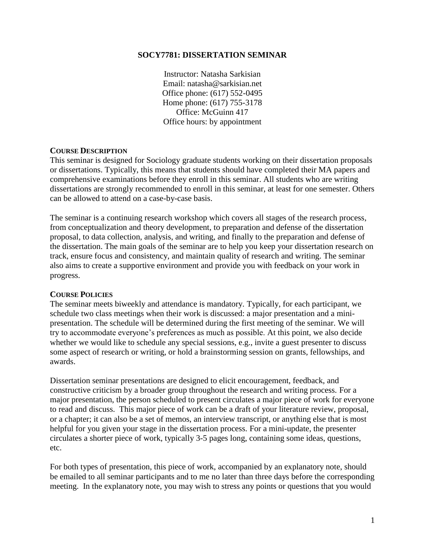## **SOCY7781: DISSERTATION SEMINAR**

Instructor: Natasha Sarkisian Email: natasha@sarkisian.net Office phone: (617) 552-0495 Home phone: (617) 755-3178 Office: McGuinn 417 Office hours: by appointment

## **COURSE DESCRIPTION**

This seminar is designed for Sociology graduate students working on their dissertation proposals or dissertations. Typically, this means that students should have completed their MA papers and comprehensive examinations before they enroll in this seminar. All students who are writing dissertations are strongly recommended to enroll in this seminar, at least for one semester. Others can be allowed to attend on a case-by-case basis.

The seminar is a continuing research workshop which covers all stages of the research process, from conceptualization and theory development, to preparation and defense of the dissertation proposal, to data collection, analysis, and writing, and finally to the preparation and defense of the dissertation. The main goals of the seminar are to help you keep your dissertation research on track, ensure focus and consistency, and maintain quality of research and writing. The seminar also aims to create a supportive environment and provide you with feedback on your work in progress.

## **COURSE POLICIES**

The seminar meets biweekly and attendance is mandatory. Typically, for each participant, we schedule two class meetings when their work is discussed: a major presentation and a minipresentation. The schedule will be determined during the first meeting of the seminar. We will try to accommodate everyone's preferences as much as possible. At this point, we also decide whether we would like to schedule any special sessions, e.g., invite a guest presenter to discuss some aspect of research or writing, or hold a brainstorming session on grants, fellowships, and awards.

Dissertation seminar presentations are designed to elicit encouragement, feedback, and constructive criticism by a broader group throughout the research and writing process. For a major presentation, the person scheduled to present circulates a major piece of work for everyone to read and discuss. This major piece of work can be a draft of your literature review, proposal, or a chapter; it can also be a set of memos, an interview transcript, or anything else that is most helpful for you given your stage in the dissertation process. For a mini-update, the presenter circulates a shorter piece of work, typically 3-5 pages long, containing some ideas, questions, etc.

For both types of presentation, this piece of work, accompanied by an explanatory note, should be emailed to all seminar participants and to me no later than three days before the corresponding meeting. In the explanatory note, you may wish to stress any points or questions that you would